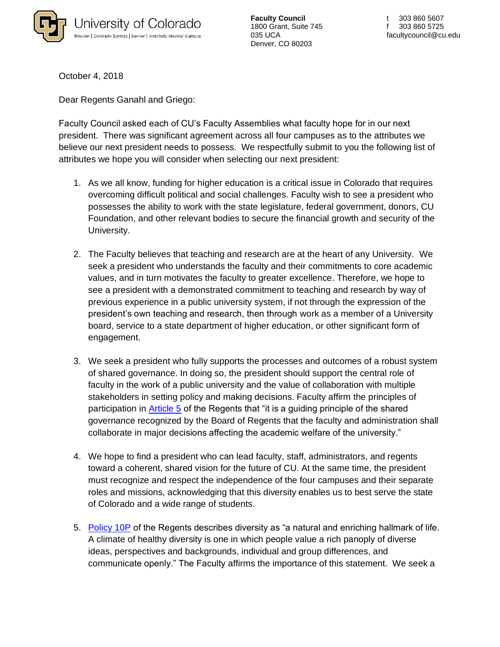

**Faculty Council** 1800 Grant, Suite 745 035 UCA Denver, CO 80203

October 4, 2018

Dear Regents Ganahl and Griego:

Faculty Council asked each of CU's Faculty Assemblies what faculty hope for in our next president. There was significant agreement across all four campuses as to the attributes we believe our next president needs to possess. We respectfully submit to you the following list of attributes we hope you will consider when selecting our next president:

- 1. As we all know, funding for higher education is a critical issue in Colorado that requires overcoming difficult political and social challenges. Faculty wish to see a president who possesses the ability to work with the state legislature, federal government, donors, CU Foundation, and other relevant bodies to secure the financial growth and security of the University.
- 2. The Faculty believes that teaching and research are at the heart of any University. We seek a president who understands the faculty and their commitments to core academic values, and in turn motivates the faculty to greater excellence. Therefore, we hope to see a president with a demonstrated commitment to teaching and research by way of previous experience in a public university system, if not through the expression of the president's own teaching and research, then through work as a member of a University board, service to a state department of higher education, or other significant form of engagement.
- 3. We seek a president who fully supports the processes and outcomes of a robust system of shared governance. In doing so, the president should support the central role of faculty in the work of a public university and the value of collaboration with multiple stakeholders in setting policy and making decisions. Faculty affirm the principles of participation in [Article 5](https://www.cu.edu/regents/laws-and-policies/regent-laws/article-5-faculty) of the Regents that "it is a guiding principle of the shared governance recognized by the Board of Regents that the faculty and administration shall collaborate in major decisions affecting the academic welfare of the university."
- 4. We hope to find a president who can lead faculty, staff, administrators, and regents toward a coherent, shared vision for the future of CU. At the same time, the president must recognize and respect the independence of the four campuses and their separate roles and missions, acknowledging that this diversity enables us to best serve the state of Colorado and a wide range of students.
- 5. [Policy 10P](https://www.cu.edu/regents/policy-10p-diversity) of the Regents describes diversity as "a natural and enriching hallmark of life. A climate of healthy diversity is one in which people value a rich panoply of diverse ideas, perspectives and backgrounds, individual and group differences, and communicate openly." The Faculty affirms the importance of this statement. We seek a